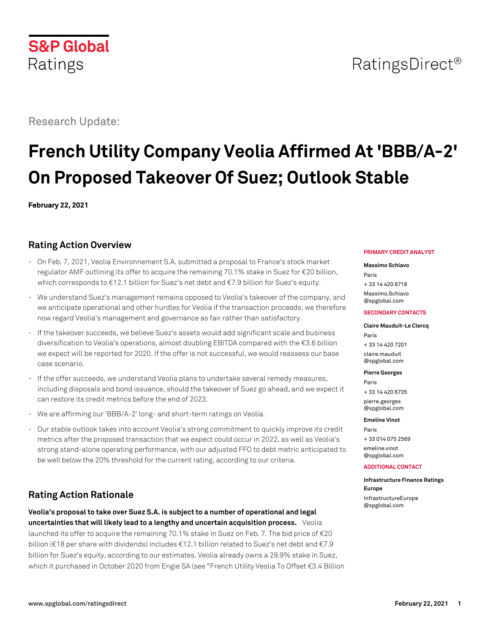# RatingsDirect<sup>®</sup>

# Research Update:

**S&P Global** 

Ratings

# **French Utility Company Veolia Affirmed At 'BBB/A-2' On Proposed Takeover Of Suez; Outlook Stable**

**February 22, 2021**

# **Rating Action Overview**

- On Feb. 7, 2021, Veolia Environnement S.A. submitted a proposal to France's stock market regulator AMF outlining its offer to acquire the remaining 70.1% stake in Suez for €20 billion, which corresponds to €12.1 billion for Suez's net debt and €7.9 billion for Suez's equity.
- We understand Suez's management remains opposed to Veolia's takeover of the company, and we anticipate operational and other hurdles for Veolia if the transaction proceeds; we therefore now regard Veolia's management and governance as fair rather than satisfactory.
- If the takeover succeeds, we believe Suez's assets would add significant scale and business diversification to Veolia's operations, almost doubling EBITDA compared with the €3.6 billion we expect will be reported for 2020. If the offer is not successful, we would reassess our base case scenario.
- If the offer succeeds, we understand Veolia plans to undertake several remedy measures, including disposals and bond issuance, should the takeover of Suez go ahead, and we expect it can restore its credit metrics before the end of 2023.
- We are affirming our 'BBB/A-2' long- and short-term ratings on Veolia.
- Our stable outlook takes into account Veolia's strong commitment to quickly improve its credit metrics after the proposed transaction that we expect could occur in 2022, as well as Veolia's strong stand-alone operating performance, with our adjusted FFO to debt metric anticipated to be well below the 20% threshold for the current rating, according to our criteria.

# **Rating Action Rationale**

**Veolia's proposal to take over Suez S.A. is subject to a number of operational and legal uncertainties that will likely lead to a lengthy and uncertain acquisition process.** Veolia launched its offer to acquire the remaining 70.1% stake in Suez on Feb. 7. The bid price of €20 billion (€18 per share with dividends) includes €12.1 billion related to Suez's net debt and €7.9 billion for Suez's equity, according to our estimates. Veolia already owns a 29.9% stake in Suez, which it purchased in October 2020 from Engie SA (see "French Utility Veolia To Offset €3.4 Billion

#### **PRIMARY CREDIT ANALYST**

#### **Massimo Schiavo**

Paris + 33 14 420 6718 [Massimo.Schiavo](mailto:Massimo.Schiavo@spglobal.com)

[@spglobal.com](mailto:Massimo.Schiavo@spglobal.com)

#### **SECONDARY CONTACTS**

#### **Claire Mauduit-Le Clercq** Paris

+ 33 14 420 7201 [claire.mauduit](mailto:claire.mauduit@spglobal.com) [@spglobal.com](mailto:claire.mauduit@spglobal.com)

**Pierre Georges**

Paris + 33 14 420 6735 [pierre.georges](mailto:pierre.georges@spglobal.com)

[@spglobal.com](mailto:pierre.georges@spglobal.com)

**Emeline Vinot** Paris + 33 014 075 2569 [emeline.vinot](mailto:emeline.vinot@spglobal.com) [@spglobal.com](mailto:emeline.vinot@spglobal.com)

#### **ADDITIONAL CONTACT**

**Infrastructure Finance Ratings Europe** [InfrastructureEurope](mailto:InfrastructureEurope@spglobal.com) [@spglobal.com](mailto:InfrastructureEurope@spglobal.com)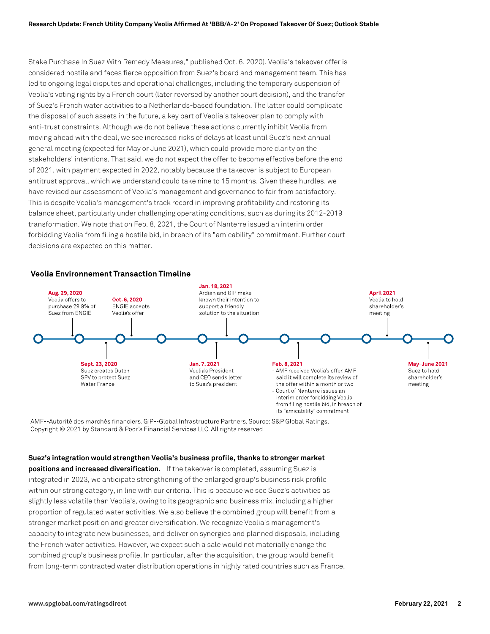Stake Purchase In Suez With Remedy Measures," published Oct. 6, 2020). Veolia's takeover offer is considered hostile and faces fierce opposition from Suez's board and management team. This has led to ongoing legal disputes and operational challenges, including the temporary suspension of Veolia's voting rights by a French court (later reversed by another court decision), and the transfer of Suez's French water activities to a Netherlands-based foundation. The latter could complicate the disposal of such assets in the future, a key part of Veolia's takeover plan to comply with anti-trust constraints. Although we do not believe these actions currently inhibit Veolia from moving ahead with the deal, we see increased risks of delays at least until Suez's next annual general meeting (expected for May or June 2021), which could provide more clarity on the stakeholders' intentions. That said, we do not expect the offer to become effective before the end of 2021, with payment expected in 2022, notably because the takeover is subject to European antitrust approval, which we understand could take nine to 15 months. Given these hurdles, we have revised our assessment of Veolia's management and governance to fair from satisfactory. This is despite Veolia's management's track record in improving profitability and restoring its balance sheet, particularly under challenging operating conditions, such as during its 2012-2019 transformation. We note that on Feb. 8, 2021, the Court of Nanterre issued an interim order forbidding Veolia from filing a hostile bid, in breach of its "amicability" commitment. Further court decisions are expected on this matter.

### **Veolia Environnement Transaction Timeline**



AMF--Autorité des marchés financiers. GIP--Global Infrastructure Partners. Source: S&P Global Ratings. Copyright © 2021 by Standard & Poor's Financial Services LLC. All rights reserved.

# **Suez's integration would strengthen Veolia's business profile, thanks to stronger market**

**positions and increased diversification.** If the takeover is completed, assuming Suez is integrated in 2023, we anticipate strengthening of the enlarged group's business risk profile within our strong category, in line with our criteria. This is because we see Suez's activities as slightly less volatile than Veolia's, owing to its geographic and business mix, including a higher proportion of regulated water activities. We also believe the combined group will benefit from a stronger market position and greater diversification. We recognize Veolia's management's capacity to integrate new businesses, and deliver on synergies and planned disposals, including the French water activities. However, we expect such a sale would not materially change the combined group's business profile. In particular, after the acquisition, the group would benefit from long-term contracted water distribution operations in highly rated countries such as France,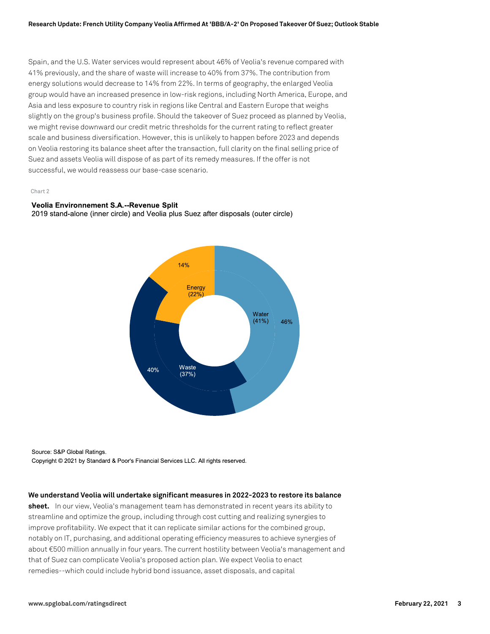Spain, and the U.S. Water services would represent about 46% of Veolia's revenue compared with 41% previously, and the share of waste will increase to 40% from 37%. The contribution from energy solutions would decrease to 14% from 22%. In terms of geography, the enlarged Veolia group would have an increased presence in low-risk regions, including North America, Europe, and Asia and less exposure to country risk in regions like Central and Eastern Europe that weighs slightly on the group's business profile. Should the takeover of Suez proceed as planned by Veolia, we might revise downward our credit metric thresholds for the current rating to reflect greater scale and business diversification. However, this is unlikely to happen before 2023 and depends on Veolia restoring its balance sheet after the transaction, full clarity on the final selling price of Suez and assets Veolia will dispose of as part of its remedy measures. If the offer is not successful, we would reassess our base-case scenario.

#### Chart 2

#### Veolia Environnement S.A.--Revenue Split

2019 stand-alone (inner circle) and Veolia plus Suez after disposals (outer circle)



Source: S&P Global Ratings. Copyright © 2021 by Standard & Poor's Financial Services LLC. All rights reserved.

#### **We understand Veolia will undertake significant measures in 2022-2023 to restore its balance**

**sheet.** In our view, Veolia's management team has demonstrated in recent years its ability to streamline and optimize the group, including through cost cutting and realizing synergies to improve profitability. We expect that it can replicate similar actions for the combined group, notably on IT, purchasing, and additional operating efficiency measures to achieve synergies of about €500 million annually in four years. The current hostility between Veolia's management and that of Suez can complicate Veolia's proposed action plan. We expect Veolia to enact remedies--which could include hybrid bond issuance, asset disposals, and capital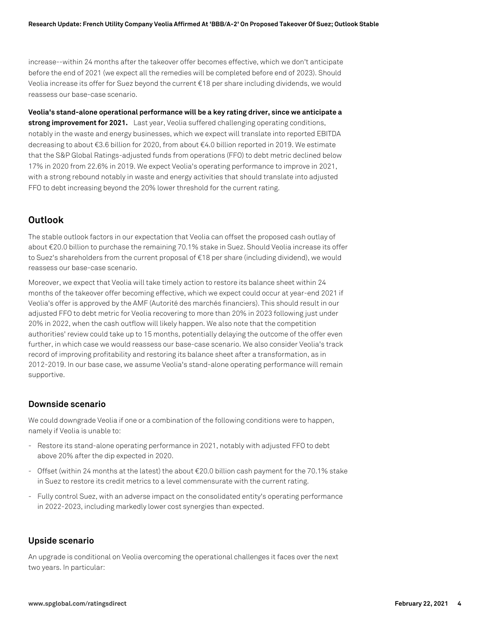increase--within 24 months after the takeover offer becomes effective, which we don't anticipate before the end of 2021 (we expect all the remedies will be completed before end of 2023). Should Veolia increase its offer for Suez beyond the current €18 per share including dividends, we would reassess our base-case scenario.

**Veolia's stand-alone operational performance will be a key rating driver, since we anticipate a strong improvement for 2021.** Last year, Veolia suffered challenging operating conditions, notably in the waste and energy businesses, which we expect will translate into reported EBITDA decreasing to about €3.6 billion for 2020, from about €4.0 billion reported in 2019. We estimate that the S&P Global Ratings-adjusted funds from operations (FFO) to debt metric declined below 17% in 2020 from 22.6% in 2019. We expect Veolia's operating performance to improve in 2021, with a strong rebound notably in waste and energy activities that should translate into adjusted FFO to debt increasing beyond the 20% lower threshold for the current rating.

# **Outlook**

The stable outlook factors in our expectation that Veolia can offset the proposed cash outlay of about €20.0 billion to purchase the remaining 70.1% stake in Suez. Should Veolia increase its offer to Suez's shareholders from the current proposal of €18 per share (including dividend), we would reassess our base-case scenario.

Moreover, we expect that Veolia will take timely action to restore its balance sheet within 24 months of the takeover offer becoming effective, which we expect could occur at year-end 2021 if Veolia's offer is approved by the AMF (Autorité des marchés financiers). This should result in our adjusted FFO to debt metric for Veolia recovering to more than 20% in 2023 following just under 20% in 2022, when the cash outflow will likely happen. We also note that the competition authorities' review could take up to 15 months, potentially delaying the outcome of the offer even further, in which case we would reassess our base-case scenario. We also consider Veolia's track record of improving profitability and restoring its balance sheet after a transformation, as in 2012-2019. In our base case, we assume Veolia's stand-alone operating performance will remain supportive.

## **Downside scenario**

We could downgrade Veolia if one or a combination of the following conditions were to happen, namely if Veolia is unable to:

- Restore its stand-alone operating performance in 2021, notably with adjusted FFO to debt above 20% after the dip expected in 2020.
- Offset (within 24 months at the latest) the about €20.0 billion cash payment for the 70.1% stake in Suez to restore its credit metrics to a level commensurate with the current rating.
- Fully control Suez, with an adverse impact on the consolidated entity's operating performance in 2022-2023, including markedly lower cost synergies than expected.

## **Upside scenario**

An upgrade is conditional on Veolia overcoming the operational challenges it faces over the next two years. In particular: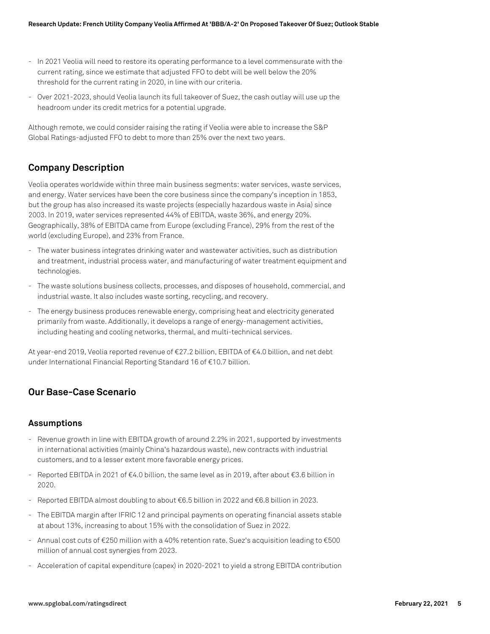- In 2021 Veolia will need to restore its operating performance to a level commensurate with the current rating, since we estimate that adjusted FFO to debt will be well below the 20% threshold for the current rating in 2020, in line with our criteria.
- Over 2021-2023, should Veolia launch its full takeover of Suez, the cash outlay will use up the headroom under its credit metrics for a potential upgrade.

Although remote, we could consider raising the rating if Veolia were able to increase the S&P Global Ratings-adjusted FFO to debt to more than 25% over the next two years.

## **Company Description**

Veolia operates worldwide within three main business segments: water services, waste services, and energy. Water services have been the core business since the company's inception in 1853, but the group has also increased its waste projects (especially hazardous waste in Asia) since 2003. In 2019, water services represented 44% of EBITDA, waste 36%, and energy 20%. Geographically, 38% of EBITDA came from Europe (excluding France), 29% from the rest of the world (excluding Europe), and 23% from France.

- The water business integrates drinking water and wastewater activities, such as distribution and treatment, industrial process water, and manufacturing of water treatment equipment and technologies.
- The waste solutions business collects, processes, and disposes of household, commercial, and industrial waste. It also includes waste sorting, recycling, and recovery.
- The energy business produces renewable energy, comprising heat and electricity generated primarily from waste. Additionally, it develops a range of energy-management activities, including heating and cooling networks, thermal, and multi-technical services.

At year-end 2019, Veolia reported revenue of €27.2 billion, EBITDA of €4.0 billion, and net debt under International Financial Reporting Standard 16 of €10.7 billion.

# **Our Base-Case Scenario**

## **Assumptions**

- Revenue growth in line with EBITDA growth of around 2.2% in 2021, supported by investments in international activities (mainly China's hazardous waste), new contracts with industrial customers, and to a lesser extent more favorable energy prices.
- Reported EBITDA in 2021 of €4.0 billion, the same level as in 2019, after about €3.6 billion in 2020.
- Reported EBITDA almost doubling to about €6.5 billion in 2022 and €6.8 billion in 2023.
- The EBITDA margin after IFRIC 12 and principal payments on operating financial assets stable at about 13%, increasing to about 15% with the consolidation of Suez in 2022.
- Annual cost cuts of €250 million with a 40% retention rate. Suez's acquisition leading to €500 million of annual cost synergies from 2023.
- Acceleration of capital expenditure (capex) in 2020-2021 to yield a strong EBITDA contribution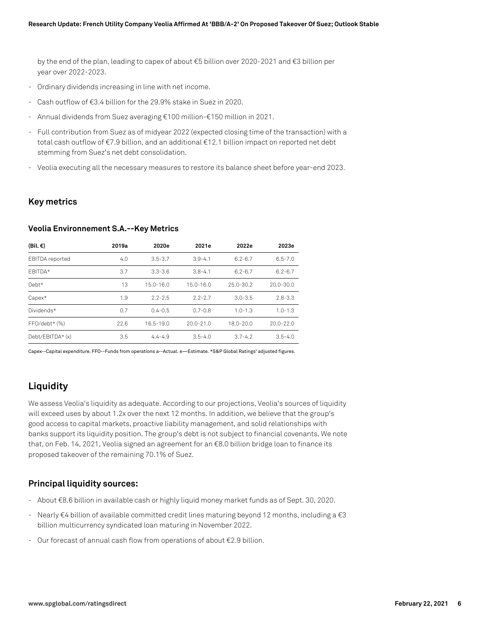by the end of the plan, leading to capex of about €5 billion over 2020-2021 and €3 billion per year over 2022-2023.

- Ordinary dividends increasing in line with net income.
- Cash outflow of €3.4 billion for the 29.9% stake in Suez in 2020.
- Annual dividends from Suez averaging €100 million-€150 million in 2021.
- Full contribution from Suez as of midyear 2022 (expected closing time of the transaction) with a total cash outflow of €7.9 billion, and an additional €12.1 billion impact on reported net debt stemming from Suez's net debt consolidation.
- Veolia executing all the necessary measures to restore its balance sheet before year-end 2023.

### **Key metrics**

#### **Veolia Environnement S.A.--Key Metrics**

| (Bil. €)               | 2019a | 2020e         | 2021e         | 2022e         | 2023e         |
|------------------------|-------|---------------|---------------|---------------|---------------|
| <b>EBITDA</b> reported | 4.0   | $3.5 - 3.7$   | $3.9 - 4.1$   | $6.2 - 6.7$   | $6.5 - 7.0$   |
| FBITDA*                | 3.7   | $3.3 - 3.6$   | $3.8 - 4.1$   | $6.2 - 6.7$   | $6.2 - 6.7$   |
| Debt*                  | 13    | $15.0 - 16.0$ | $15.0 - 16.0$ | $25.0 - 30.2$ | $20.0 - 30.0$ |
| Capex*                 | 1.9   | $2.2 - 2.5$   | $2.2 - 2.7$   | $3.0 - 3.5$   | $2.8 - 3.3$   |
| Dividends*             | 0.7   | $0.4 - 0.5$   | $0.7 - 0.8$   | $1.0 - 1.3$   | $1.0 - 1.3$   |
| $FFO/debt*$ $(\%)$     | 22.6  | $16.5 - 19.0$ | $20.0 - 21.0$ | $18.0 - 20.0$ | $20.0 - 22.0$ |
| Debt/EBITDA* (x)       | 3.5   | $4.4 - 4.9$   | $3.5 - 4.0$   | $3.7 - 4.2$   | $3.5 - 4.0$   |

Capex--Capital expenditure. FFO--Funds from operations a--Actual. e—Estimate. \*S&P Global Ratings' adjusted figures.

# **Liquidity**

We assess Veolia's liquidity as adequate. According to our projections, Veolia's sources of liquidity will exceed uses by about 1.2x over the next 12 months. In addition, we believe that the group's good access to capital markets, proactive liability management, and solid relationships with banks support its liquidity position. The group's debt is not subject to financial covenants. We note that, on Feb. 14, 2021, Veolia signed an agreement for an €8.0 billion bridge loan to finance its proposed takeover of the remaining 70.1% of Suez.

## **Principal liquidity sources:**

- About €8.6 billion in available cash or highly liquid money market funds as of Sept. 30, 2020.
- Nearly €4 billion of available committed credit lines maturing beyond 12 months, including a €3 billion multicurrency syndicated loan maturing in November 2022.
- Our forecast of annual cash flow from operations of about €2.9 billion.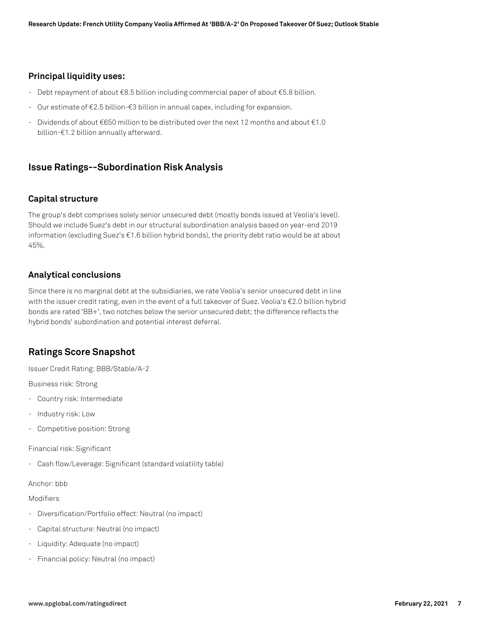## **Principal liquidity uses:**

- Debt repayment of about €8.5 billion including commercial paper of about €5.8 billion.
- Our estimate of €2.5 billion-€3 billion in annual capex, including for expansion.
- Dividends of about €650 million to be distributed over the next 12 months and about €1.0 billion-€1.2 billion annually afterward.

## **Issue Ratings--Subordination Risk Analysis**

## **Capital structure**

The group's debt comprises solely senior unsecured debt (mostly bonds issued at Veolia's level). Should we include Suez's debt in our structural subordination analysis based on year-end 2019 information (excluding Suez's €1.6 billion hybrid bonds), the priority debt ratio would be at about 45%.

## **Analytical conclusions**

Since there is no marginal debt at the subsidiaries, we rate Veolia's senior unsecured debt in line with the issuer credit rating, even in the event of a full takeover of Suez. Veolia's €2.0 billion hybrid bonds are rated 'BB+', two notches below the senior unsecured debt; the difference reflects the hybrid bonds' subordination and potential interest deferral.

# **Ratings Score Snapshot**

Issuer Credit Rating: BBB/Stable/A-2

Business risk: Strong

- Country risk: Intermediate
- Industry risk: Low
- Competitive position: Strong

Financial risk: Significant

- Cash flow/Leverage: Significant (standard volatility table)

#### Anchor: bbb

#### Modifiers

- Diversification/Portfolio effect: Neutral (no impact)
- Capital structure: Neutral (no impact)
- Liquidity: Adequate (no impact)
- Financial policy: Neutral (no impact)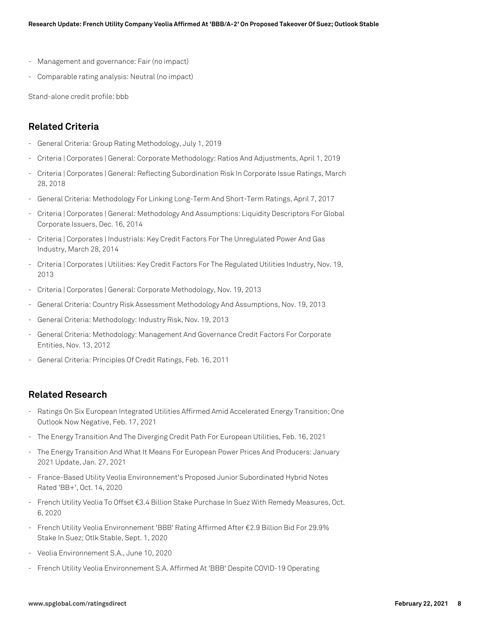- Management and governance: Fair (no impact)
- Comparable rating analysis: Neutral (no impact)

Stand-alone credit profile: bbb

## **Related Criteria**

- General Criteria: Group Rating Methodology, July 1, 2019
- Criteria | Corporates | General: Corporate Methodology: Ratios And Adjustments, April 1, 2019
- Criteria | Corporates | General: Reflecting Subordination Risk In Corporate Issue Ratings, March 28, 2018
- General Criteria: Methodology For Linking Long-Term And Short-Term Ratings, April 7, 2017
- Criteria | Corporates | General: Methodology And Assumptions: Liquidity Descriptors For Global Corporate Issuers, Dec. 16, 2014
- Criteria | Corporates | Industrials: Key Credit Factors For The Unregulated Power And Gas Industry, March 28, 2014
- Criteria | Corporates | Utilities: Key Credit Factors For The Regulated Utilities Industry, Nov. 19, 2013
- Criteria | Corporates | General: Corporate Methodology, Nov. 19, 2013
- General Criteria: Country Risk Assessment Methodology And Assumptions, Nov. 19, 2013
- General Criteria: Methodology: Industry Risk, Nov. 19, 2013
- General Criteria: Methodology: Management And Governance Credit Factors For Corporate Entities, Nov. 13, 2012
- General Criteria: Principles Of Credit Ratings, Feb. 16, 2011

## **Related Research**

- Ratings On Six European Integrated Utilities Affirmed Amid Accelerated Energy Transition; One Outlook Now Negative, Feb. 17, 2021
- The Energy Transition And The Diverging Credit Path For European Utilities, Feb. 16, 2021
- The Energy Transition And What It Means For European Power Prices And Producers: January 2021 Update, Jan. 27, 2021
- France-Based Utility Veolia Environnement's Proposed Junior Subordinated Hybrid Notes Rated 'BB+', Oct. 14, 2020
- French Utility Veolia To Offset €3.4 Billion Stake Purchase In Suez With Remedy Measures, Oct. 6, 2020
- French Utility Veolia Environnement 'BBB' Rating Affirmed After €2.9 Billion Bid For 29.9% Stake In Suez; Otlk Stable, Sept. 1, 2020
- Veolia Environnement S.A., June 10, 2020
- French Utility Veolia Environnement S.A. Affirmed At 'BBB' Despite COVID-19 Operating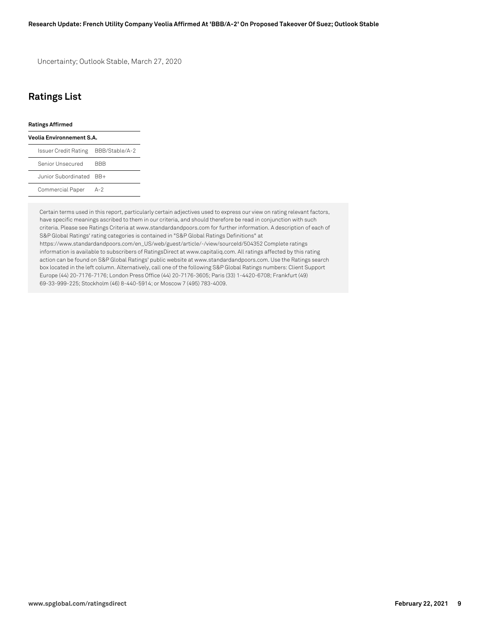Uncertainty; Outlook Stable, March 27, 2020

# **Ratings List**

#### **Ratings Affirmed**

| Veolia Environnement S.A.           |            |  |  |  |
|-------------------------------------|------------|--|--|--|
| Issuer Credit Rating BBB/Stable/A-2 |            |  |  |  |
| Senior Unsecured                    | <b>BBB</b> |  |  |  |
| Junior Subordinated BB+             |            |  |  |  |
| Commercial Paper                    | $A-2$      |  |  |  |

Certain terms used in this report, particularly certain adjectives used to express our view on rating relevant factors, have specific meanings ascribed to them in our criteria, and should therefore be read in conjunction with such criteria. Please see Ratings Criteria at www.standardandpoors.com for further information. A description of each of S&P Global Ratings' rating categories is contained in "S&P Global Ratings Definitions" at https://www.standardandpoors.com/en\_US/web/guest/article/-/view/sourceId/504352 Complete ratings information is available to subscribers of RatingsDirect at www.capitaliq.com. All ratings affected by this rating action can be found on S&P Global Ratings' public website at www.standardandpoors.com. Use the Ratings search box located in the left column. Alternatively, call one of the following S&P Global Ratings numbers: Client Support Europe (44) 20-7176-7176; London Press Office (44) 20-7176-3605; Paris (33) 1-4420-6708; Frankfurt (49) 69-33-999-225; Stockholm (46) 8-440-5914; or Moscow 7 (495) 783-4009.